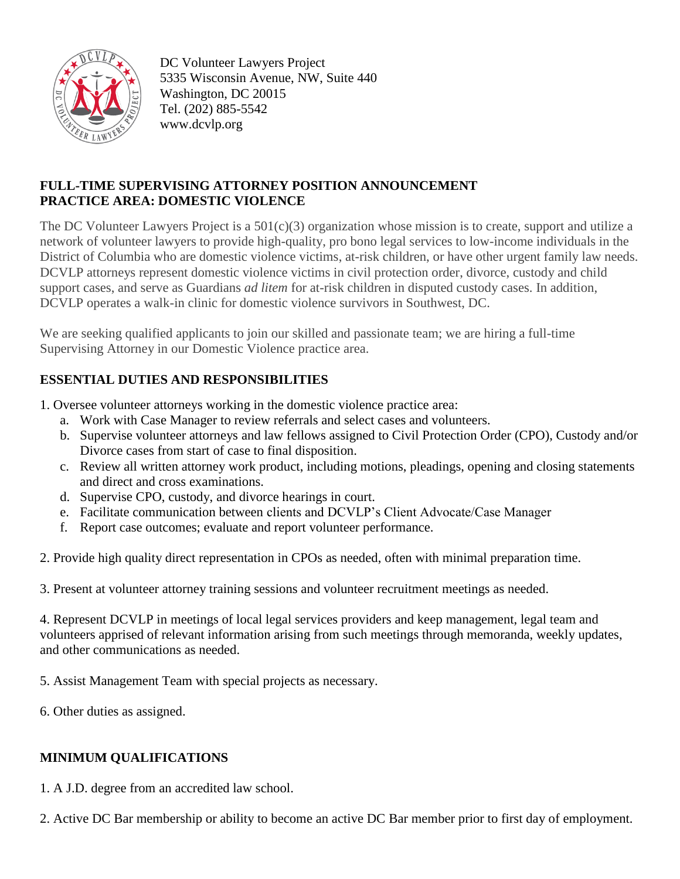

DC Volunteer Lawyers Project 5335 Wisconsin Avenue, NW, Suite 440 Washington, DC 20015 Tel. (202) 885-5542 www.dcvlp.org

## **FULL-TIME SUPERVISING ATTORNEY POSITION ANNOUNCEMENT PRACTICE AREA: DOMESTIC VIOLENCE**

The DC Volunteer Lawyers Project is a  $501(c)(3)$  organization whose mission is to create, support and utilize a network of volunteer lawyers to provide high-quality, pro bono legal services to low-income individuals in the District of Columbia who are domestic violence victims, at-risk children, or have other urgent family law needs. DCVLP attorneys represent domestic violence victims in civil protection order, divorce, custody and child support cases, and serve as Guardians *ad litem* for at-risk children in disputed custody cases. In addition, DCVLP operates a walk-in clinic for domestic violence survivors in Southwest, DC.

We are seeking qualified applicants to join our skilled and passionate team; we are hiring a full-time Supervising Attorney in our Domestic Violence practice area.

## **ESSENTIAL DUTIES AND RESPONSIBILITIES**

- 1. Oversee volunteer attorneys working in the domestic violence practice area:
	- a. Work with Case Manager to review referrals and select cases and volunteers.
	- b. Supervise volunteer attorneys and law fellows assigned to Civil Protection Order (CPO), Custody and/or Divorce cases from start of case to final disposition.
	- c. Review all written attorney work product, including motions, pleadings, opening and closing statements and direct and cross examinations.
	- d. Supervise CPO, custody, and divorce hearings in court.
	- e. Facilitate communication between clients and DCVLP's Client Advocate/Case Manager
	- f. Report case outcomes; evaluate and report volunteer performance.
- 2. Provide high quality direct representation in CPOs as needed, often with minimal preparation time.
- 3. Present at volunteer attorney training sessions and volunteer recruitment meetings as needed.

4. Represent DCVLP in meetings of local legal services providers and keep management, legal team and volunteers apprised of relevant information arising from such meetings through memoranda, weekly updates, and other communications as needed.

5. Assist Management Team with special projects as necessary.

6. Other duties as assigned.

## **MINIMUM QUALIFICATIONS**

1. A J.D. degree from an accredited law school.

2. Active DC Bar membership or ability to become an active DC Bar member prior to first day of employment.